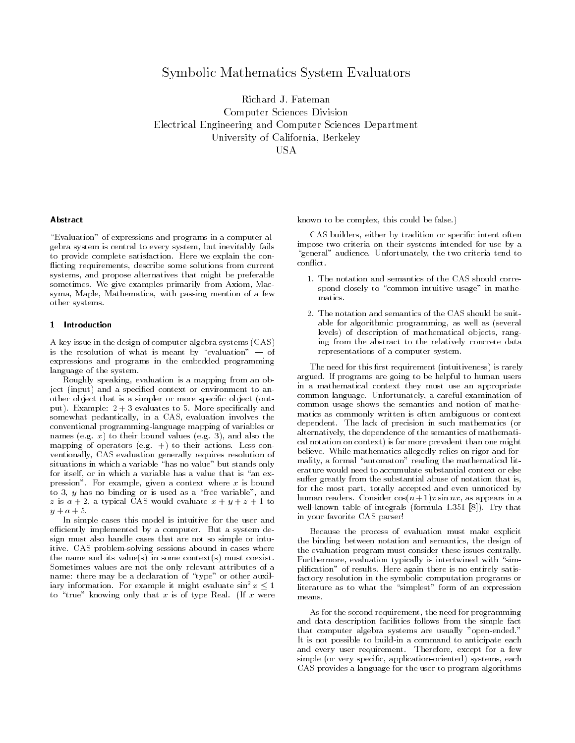# Symbolic Mathematics System Evaluators

Richard J. Fateman Computer Sciences Division Electrical Engineering and Computer Sciences Department university of California-California-California-**USA** 

### Abstract

Evaluation- of expressions and programs in a computer al gebra system is central to every system, but inevitably fails to provide complete satisfaction. Here we explain the conflicting requirements, describe some solutions from current systems, and propose alternatives that might be preferable sometimes. We give examples primarily from Axiom, Macsyma, Maple, Mathematica, with passing mention of a few other systems

### $1$ Introduction

A key issue in the design of computer algebra systems (CAS) is the resolution of what is meant by evaluation-  $\mathcal{O}(\mathcal{O})$ expressions and programs in the embedded programming language of the system

Roughly speaking, evaluation is a mapping from an object input and a speci ed context or environment to an other ob ject that is a simpler or more speci c ob ject out put en contrare part and a contrarect contrarect surface of processes, the contrarect of  $\mathcal{L}_\mathcal{A}$ somewhat pedantically, in a CAS, evaluation involves the conventional programming-language mapping of variables or names (e.g. x) to their bound values (e.g. 3), and also the mapping of operators (e.g.  $+$ ) to their actions. Less conventionally CAS evaluation generally requires resolution of situations in which is no value-to-community only the standard complete  $\mathcal{L}_{\mathcal{A}}$ for itself, or in which a variable has a value that is "an expression- For example given a context where x is bound to a y teat free variables of is used as a free variable- variablez is  $a+2$ , a typical CAS would evaluate  $x+y+z+1$  to  $y + a + 5$ .

In simple cases this model is intuitive for the user and efficiently implemented by a computer. But a system design must also handle cases that are not so simple or intu itive. CAS problem-solving sessions abound in cases where the name and its value(s) in some context(s) must coexist. Sometimes values are not the only relevant attributes of a name there may be a declaration of type- or other auxil iary information. For example it might evaluate  $\sin^2 x \leq 1$ to true- knowing only that x is of type Real If x were known to be complex, this could be false.)

case cannot promote the intention of specific intent of the specific or specific intention or specific interes impose two criteria on their systems intended for use by a general-meneral-theory the two cases the tender the tend to conflict.

- 1. The notation and semantics of the CAS should correspond closely to common intuitive usage- in mathe matics.
- The notation and semantics of the CAS should be suit able for algorithmic programming, as well as (several levels) of description of mathematical objects, ranging from the abstract to the relatively concrete data representations of a computer system

The need for this rst requirement intuitiveness is rarely argued. If programs are going to be helpful to human users in a mathematical context they must use an appropriate common language. Unfortunately, a careful examination of common usage shows the semantics and notion of mathe matics as commonly written is often ambiguous or context dependent. The lack of precision in such mathematics (or alternatively, the dependence of the semantics of mathematical notation on context) is far more prevalent than one might believe. While mathematics allegedly relies on rigor and formality a formal automaton-the formal little mathematical lit erature would need to accumulate substantial context or else suffer greatly from the substantial abuse of notation that is, for the most part, totally accepted and even unnoticed by human readers. Consider  $\cos((n+1)x) \sin(nx)$ , as appears in a well-known table of integrals (formula  $1.351$  [8]). Try that in your favorite CAS parser

Because the process of evaluation must make explicit the binding between notation and semantics, the design of the evaluation program must consider these issues centrally Furthermore, evaluation typically is intertwined with "simplies here again the superior of results Here again the satisfactory satisfactory satisfactory is no entirely satisfactory in the satisfactory of the satisfactory is no entirely satisfactory in the satisfactory in the sati factory resolution in the symbolic computation programs or literature as to what the simplest- form of an expression means

As for the second requirement, the need for programming and data description facilities follows from the simple fact that computer algebra systems are usually - computer algebra systems are usually - computer and - computer are It is not possible to build-in a command to anticipate each and every user requirement. Therefore, except for a few simple (si very specification) systems each contraction processed station CAS provides a language for the user to program algorithms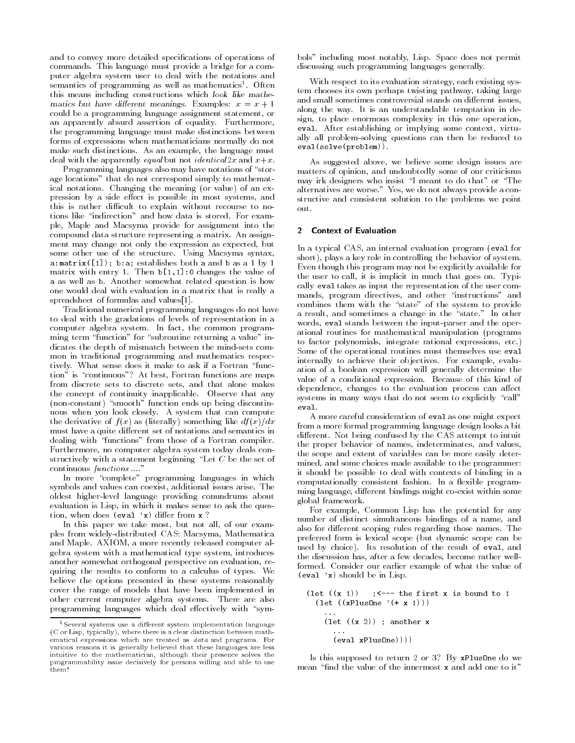and to convey more detailed speci cations of operations of commands. This language must provide a bridge for a computer algebra system user to deal with the notations and semantics of programming as well as mathematics . Often this means including constructions which look like mathe matics but have different meanings. Examples:  $x = x + 1$ could be a programming language assignment statement, or an apparently absurd assertion of equality. Furthermore, the programming language must make distinctions between forms of expressions when mathematicians normally do not make such distinctions. As an example, the language must deal with the apparently equal but not *identical*  $2x$  and  $x + x$ .

Programming languages also may have notations of "storage locations-do-not correspond simply to mathematically to mathematically to mathematically to mathematically ical notations. Changing the meaning (or value) of an expression by a side effect is possible in most systems, and this is rather difficult to explain without recourse to nople, Maple and Macsyma provide for assignment into the compound data structure representing a matrix. An assignment may change not only the expression as expected, but some other use of the structure. Using Macsyma syntax, almatrix-both a stable both a stable both as a both a by the stable stable both and by the stable stable stabl matrix with the state theory of  $\mathbb{F}_q$  is the value of value of a as well as b. Another somewhat related question is how one would deal with evaluation in a matrix that is really a spreadsheet of formulas and values[1].

Traditional numerical programming languages do not have to deal with the gradations of levels of representation in a computer algebra system. In fact, the common programming term function- for subroutine returning a value- in dicates the depth of mismatch between the mind-sets common in traditional programming and mathematics respec tively. What sense does it make to ask if a Fortran "function-best Fortran function-best Fortran function-best Fortran functions are maps functions are maps functions a from discrete sets to discrete sets, and that alone makes from discrete sets to discrete sets and that alone makes the concept of continuity inapplicable Observe that any nonconstant smooth-disconstant smooth-discontinue of the continue of the continue of the continue of the continue of the continue of the continue of the continue of the continue of the continue of the continue of the conti uous when you look closely A system that can compute the derivative of  $f(x)$  as (literally) something like  $df(x)/dx$ must have a quite different set of notations and semantics in dealing with functions- from those of a Fortran compiler Furthermore, no computer algebra system today deals constructively with a statement beginning "Let  $C$  be the set of  $continuous$   $functions$  ...."

In more complete- programming languages in which symbols and values can coexist, additional issues arise. The oldest higher-level language providing conundrums about evaluation is Lisp, in which it makes sense to ask the question when does - eval and a seven does - eval and a seven does - evaluated by the seven does - evaluated by th

In this paper we take most, but not all, of our examples from widely-distributed CAS: Macsyma, Mathematica and Maple. AXIOM, a more recently released computer algebra system with a mathematical type system, introduces another somewhat orthogonal perspective on evaluation, requiring the results to conform to a calculus of types We believe the options presented in these systems reasonably cover the range of models that have been implemented in other current computer algebra systems. There are also programming languages which deal effectively with "sym-

bols- including most notably Lisp Space does not permit discussing such programming languages generally

With respect to its evaluation strategy, each existing system chooses its own perhaps twisting pathway, taking large and small sometimes controversial stands on different issues. along the way It is an understandable temptation in de sign, to place enormous complexity in this one operation, eval. After establishing or implying some context, virtually all problem-solving questions can then be reduced to eval-bender in the solve-solve-solve-solve-solve-solve-solve-solve-solve-solve-solve-solve-solve-solve-solve-s

As suggested above, we believe some design issues are matters of opinion, and undoubtedly some of our criticisms may irk designers who insist I meant to do that- or The alternatives are worse-worse-worse-worse-worse-worse-worse-worse-worse-worse-worse-worse-worse-worse-worse-wor structive and consistent solution to the problems we point out.

In a typical CAS, an internal evaluation program (eval for short), plays a key role in controlling the behavior of system. Even though this program may not be explicitly available for the user to call, it is implicit in much that goes on. Typically eval takes as input the representation of the user com mands program directives and other instructions- and combines the state-them with the system to provide the system to provide the system to provide the system to p a result and sometimes a change in the state- In other words, eval stands between the input-parser and the operational routines for mathematical manipulation (programs to factor polynomials, integrate rational expressions, etc.) Some of the operational routines must themselves use eval internally to achieve their objectives. For example, evaluation of a boolean expression will generally determine the value of a conditional expression. Because of this kind of dependence, changes to the evaluation process can affect systems in many ways that do not seem to explicitly "call"  $eva1$ 

A more careful consideration of eval as one might expect from a more formal programming language design looks a bit different. Not being confused by the CAS attempt to intuit the proper behavior of names, indeterminates, and values, the scope and extent of variables can be more easily deter mined, and some choices made available to the programmer: it should be possible to deal with contexts of binding in a computationally consistent fashion. In a flexible programming language, different bindings might co-exist within some global framework

For example, Common Lisp has the potential for any number of distinct simultaneous bindings of a name, and also for different scoping rules regarding those names. The preferred form is lexical scope (but dynamic scope can be used by choice). Its resolution of the result of eval, and the discussion has, after a few decades, become rather wellformed. Consider our earlier example of what the value of -eval x should be in Lisp

```
\mathcal{N} - and the first x is bound to the first x is bound to the first x is bound to the first x is bound to the first x is bound to the first x is bound to the first x is bound to the first x is bound to the first x is
            \mathbf{v} - \mathbf{v} - \mathbf{v} - \mathbf{v} - \mathbf{v} - \mathbf{v} - \mathbf{v} - \mathbf{v} - \mathbf{v} - \mathbf{v} - \mathbf{v} - \mathbf{v} - \mathbf{v} - \mathbf{v} - \mathbf{v} - \mathbf{v} - \mathbf{v} - \mathbf{v} - \mathbf{v} - \mathbf{v} - \mathbf{v} - \mathbf{v} - \mathbf{v} - \mathbf{v} - \mathbf{v} - \mathbf{v} - \mathbf{v} - \mathbf{v} - \mathbf{v} - \mathbf{v} - \mathbf{v} - \mathbf{v} - \mathbf{v} - \mathbf{v} - \mathbf{v} - \mathbf{v} - \mathbf{v} - \mathbf{v} - \mathbf{v} - \mathbf{v} - -
eval xPlusOne
```
Is this supposed to return 2 or  $3$ ? By xPlus0ne do we

<sup>&</sup>quot;Several systems use a different system implementation language  $\mathcal{L}$  or Lisp typically where there is a clear distinction between mathematically distinction between mathematical distinction between  $\mathcal{L}$ ematical expressions which are treated as *data* and programs. For ematical expressions which are treated as data and programs For various reasons it is generally believed that these languages are less programmability issue decisively for persons willing and able to use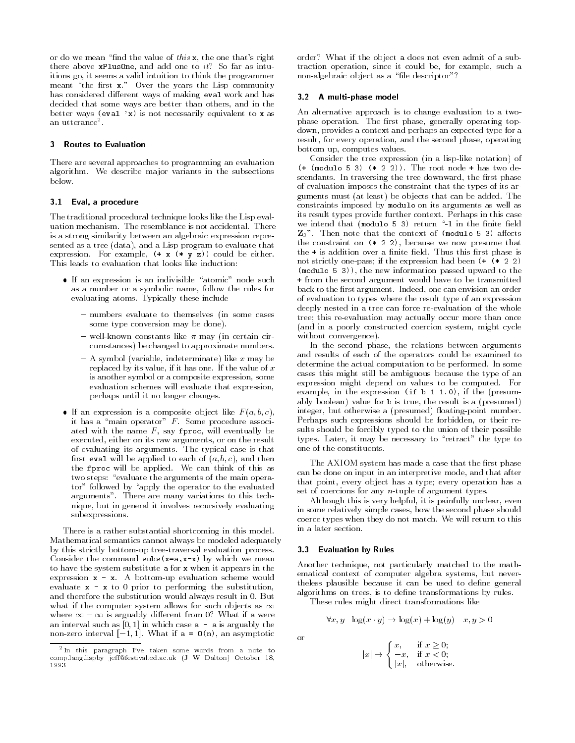or do we mean  $n$  do we mean  $n$  this x the one that state of this  $x$  this  $x$  this  $x$  the one that state  $\mathbf{r}$ there above  $x$ PlusOne, and add one to it? So far as intuitions go it seems a valid intuition to think the programmer meant the rst x- Over the years the Lisp community has considered different ways of making eval work and has decided that some ways are better than others, and in the better ways -eval x is not necessarily equivalent to x as an utterance

### $\mathbf{3}$ Routes to Evaluation

There are several approaches to programming an evaluation algorithm. We describe major variants in the subsections below

### 3.1 Eval, a procedure

The traditional procedural technique looks like the Lisp eval uation mechanism. The resemblance is not accidental. There is a strong similarity between an algebraic expression repre sented as a tree  $(data)$ , and a Lisp program to evaluate that expression For example - we have example - we have the either that the either the either that the either the e This leads to evaluation that looks like induction

- $\bullet$  If an expression is an indivisible "atomic" node such  $$ as a number or a symbolic name, follow the rules for evaluating atoms Typically these include
	- numbers evaluate to themselves in some cases some type conversion may be done).
	- well in complete into a many in correction of cumstances) be changed to approximate numbers.
	- A symbol variable indeterminate like x may be replaced by its value, if it has one. If the value of  $x$ is another symbol or a composite expression, some evaluation schemes will evaluate that expression perhaps until it no longer changes
- $\bullet$  II an expression is a composite object like  $F\left(a, b, c\right)$ , it has a main operator- in the some procedure associated the some procedure associated by the some procedure as ated with the name  $F$ , say fproc, will eventually be executed, either on its raw arguments, or on the result of evaluating its arguments The typical case is that rst eval will be applied to each of a position the control theory the fproc will be applied. We can think of this as two steps: "evaluate the arguments of the main operator- followed by apply the operator to the evaluated arguments- to the many variations to this technology nique, but in general it involves recursively evaluating subexpressions

There is a rather substantial shortcoming in this model. Mathematical semantics cannot always be modeled adequately by this strictly bottom-up tree-traversal evaluation process.  $x \mapsto \alpha$  by which we mean the community which we mean the community which we mean the community where  $\alpha$ to have the system substitute a for x when it appears in the expression  $x - x$ . A bottom-up evaluation scheme would evaluate  $x - x$  to 0 prior to performing the substitution. and therefore the substitution would always result in 0. But what if the computer system allows for such objects as  $\infty$ where  $\infty - \infty$  is arguably different from 0? What if a were an interval such as  $[0, 1]$  in which case  $a - a$  is arguably the  $\lim_{\alpha \to 0}$  interval  $[-1, 1]$ . What if  $\alpha = 0$  (ii), an asymptotic

order? What if the object a does not even admit of a subtraction operation, since it could be, for example, such a nonalgebraic ob ject as a le descriptor-

### - A multiplier model in the control of the control of the control of the control of the control of the control of the control of the control of the control of the control of the control of the control of the control of the

An alternative approach is to change evaluation to a two phase operation The rst phase generally operating top down, provides a context and perhaps an expected type for a result, for every operation, and the second phase, operating bottom up. computes values.

Consider the tree expression (in a lisp-like notation) of - -modulo - The root node has two de scendants In traversing the tree downward the rst phase of evaluation imposes the constraint that the types of its ar guments must (at least) be objects that can be added. The constraints imposed by modulo on its arguments as well as its result types provide further context. Perhaps in this case we intend that modulo is the modulo in the modulo in the modulo in the modulo in the modulo in the modulo  $\Box$  . Then hold diag the context of  $\Box$  are adds to  $\Box$  and the the constraint on  $\mathcal{L}$  is a constraint on  $\mathcal{L}$  is a constraint on  $\mathcal{L}$ the contract of the contract of the contract of the contract of the contract of the contract of the contract of not strictly one pass if the expression had been strictly one pass if the expression had been resourced to the -modulo the new information passed upward to the from the second argument would have to be transmitted back to the rst argument Indeed one can envision an order of evaluation to types where the result type of an expression deeply nested in a tree can force re-evaluation of the whole tree; this re-evaluation may actually occur more than once (and in a poorly constructed coercion system, might cycle without convergence).

In the second phase, the relations between arguments and results of each of the operators could be examined to determine the actual computation to be performed. In some cases this might still be ambiguous because the type of an expression might depend on values to be computed. For example in the expression of the expression of the presum of the presum of the presum of the presum of the presum of the presum of the presum of the presum of the presum of the presum of the presum of the presum of the pre ably boolean) value for  $b$  is true, the result is a (presumed) integer, but otherwise a (presumed) floating-point number. Perhaps such expressions should be forbidden, or their results should be forcibly typed to the union of their possible types Later it may be necessary to retract- the type to one of the constituents

The AXIOM system has made a case that the AXIOM system has made a case that the  $\mathbf{r}$ can be done on input in an interpretive mode, and that after that point, every object has a type; every operation has a set of coercions for any  $n$ -tuple of argument types.

Although this is very helpful, it is painfully unclear, even in some relatively simple cases, how the second phase should coerce types when they do not match. We will return to this in a later section

## 3.3 Evaluation by Rules

Another technique, not particularly matched to the mathematical context of computer algebra systems, but nevertheless plausible because it can be used to de ne general algorithms on trees is to de ne transformations by rules

These rules might direct transformations like

$$
\forall x, y \ \log(x \cdot y) \to \log(x) + \log(y) \ x, y > 0
$$

 $\alpha$ 

$$
|x| \to \begin{cases} x, & \text{if } x \ge 0; \\ -x, & \text{if } x < 0; \\ |x|, & \text{otherwise.} \end{cases}
$$

In this paragraph Ive taken some words from a note to complant of the complete order of the complete order of the complete order of the complete order of the complete order of the complete order of the complete order of the complete order of the complete order order order ord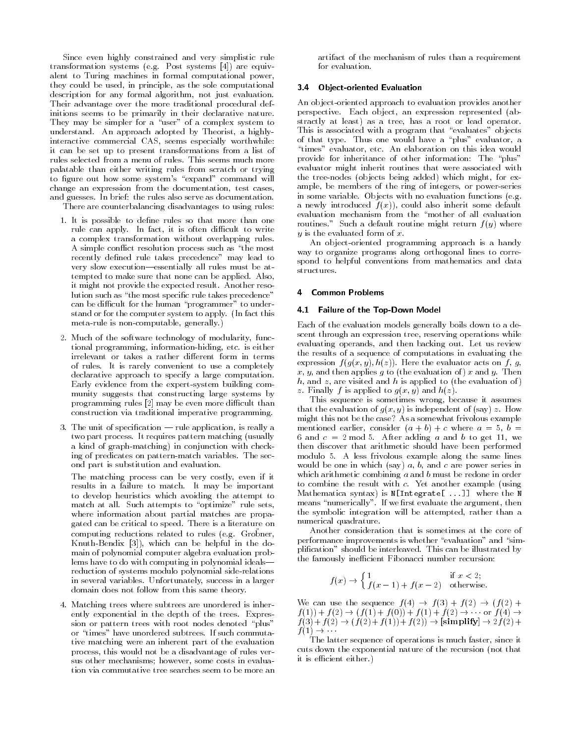Since even highly constrained and very simplistic rule transformation systems (e.g. Post systems  $[4]$ ) are equivalent to Turing machines in formal computational power they could be used, in principle, as the sole computational description for any formal algorithm, not just evaluation. Their advantage over the more traditional procedural def initions seems to be primarily in their declarative nature They may be simpler for a user- of a complex system to understand. An approach adopted by Theorist, a highlyinteractive commercial CAS, seems especially worthwhile: it can be set up to present transformations from a list of rules selected from a menu of rules. This seems much more palatable than either writing rules from scratch or trying to gure out how some systems expand- command will change an expression from the documentation, test cases, and guesses. In brief: the rules also serve as documentation.

There are counterbalancing disadvantages to using rules

- It is possible to de ne rules so that more than one rule can apply. In fact, it is often difficult to write a complex transformation without overlapping rules A simple conflict resolution process such as "the most recently de ned rule takes precedence- may lead to very slow execution-essentially all rules must be attempted to make sure that none can be applied. Also, it might not provide the expected result. Another resolution such as the most speci c rule takes precedencecan be dicult for the human programmerstand or for the computer system to apply. (In fact this meta-rule is non-computable, generally.)
- 2. Much of the software technology of modularity, functional programming, information-hiding, etc. is either irrelevant or takes a rather different form in terms of rules. It is rarely convenient to use a completely declarative approach to specify a large computation Early evidence from the expert-system building community suggests that constructing large systems by programming rules  $[2]$  may be even more difficult than construction via traditional imperative programming
- The unit of specification is really provided in the second of the second interval  $\alpha$ two part process. It requires pattern matching (usually a kind of graph-matching) in conjunction with checking of predicates on pattern-match variables. The second part is substitution and evaluation

The matching process can be very costly, even if it results in a failure to match It may be important to develop heuristics which avoiding the attempt to match at all such attendance is to optimize the sets that  $\mathbf{r}_i$ where information about partial matches are propa gated can be critical to speed. There is a literature on computing reductions related to rules (e.g. Grobner, Knuth-Bendix [3]), which can be helpful in the domain of polynomial computer algebra evaluation prob lems have to do with computing in polynomial ideals reduction of systems modulo polynomial side-relations in several variables. Unfortunately, success in a larger domain does not follow from this same theory

 Matching trees where subtrees are unordered is inher ently exponential in the depth of the trees. Expression or pattern trees with root nodes denoted "plus" tive matching were an inherent part of the evaluation process this would not be a disadvantage of rules ver sus other mechanisms; however, some costs in evaluation via commutative tree searches seem to be more an artifact of the mechanism of rules than a requirement for evaluation

## 3.4 Object-oriented Evaluation

An object-oriented approach to evaluation provides another perspective. Each object, an expression represented (abstractly at least) as a tree, has a root or lead operator. This is associated with a program that evaluates- objects of that type Thus one would have a plus- evaluator a times- evaluator, city time along atomical and this idea would provide for inheritance of other information: The "plus" evaluator might inherit routines that were associated with the tree-nodes (objects being added) which might, for example, be members of the ring of integers, or power-series in some variable. Objects with no evaluation functions (e.g. a newly introduced  $f(x)$ , could also inherit some default evaluation mechanism from the "mother of all evaluation routines- Such a default routine might return f y where  $y$  is the evaluated form of  $x$ .

An object-oriented programming approach is a handy way to organize programs along orthogonal lines to corre spond to helpful conventions from mathematics and data structures.

## $\mathbf{A}$

## 4.1 Failure of the Top-Down Model

Each of the evaluation models generally boils down to a de scent through an expression tree, reserving operations while evaluating operands, and then backing out. Let us review the results of a sequence of computations in evaluating the expression  $f(g(x, y), h(z))$ . Here the evaluator acts on f, g,  $x, y$ , and then applies g to (the evaluation of) x and y. Then h, and z, are visited and h is applied to (the evaluation of) z. Finally f is applied to  $g(x, y)$  and  $h(z)$ .

This sequence is sometimes wrong, because it assumes that the evaluation of  $q(x, y)$  is independent of (say) z. How might this not be the case? As a somewhat frivolous example mentioned earlier, consider  $(a + b) + c$  where  $a = 5, b =$ 6 and  $c = 2 \mod 5$ . After adding a and b to get 11, we then discover that arithmetic should have been performed modulo A less frivolous example along the same lines would be one in which (say)  $a, b$ , and c are power series in which arithmetic combining *a* and *b* must be redone in order to combine the result with  $c$ . Yet another example (using Mathematica syntax) is  $N[Integrate [...]]$  where the N means numerically- If we rst evaluate the argument then the symbolic integration will be attempted, rather than a numerical quadrature

Another consideration that is sometimes at the core of performance improvements in provements in the contract of the simulation-simulation-simulation-simulation-simulationpli cation- should be interleaved This can be illustrated by the famously inefficient Fibonacci number recursion:

$$
f(x) \to \begin{cases} 1 & \text{if } x < 2; \\ f(x-1) + f(x-2) & \text{otherwise.} \end{cases}
$$

We can use the sequence  $f(4) \rightarrow f(3) + f(2) \rightarrow (f(2) +$  $f(1) + f(2) \to (f(1) + f(0)) + f(1) + f(2) \to \cdots$  or  $f(4) \to$  $f(3) + f(2) \to (f(2) + f(1)) + f(2)) \to [simply] \to 2f(2) +$  $f(1) \rightarrow \cdots$ 

The latter sequence of operations is much faster, since it cuts down the exponential nature of the recursion (not that it is efficient either.)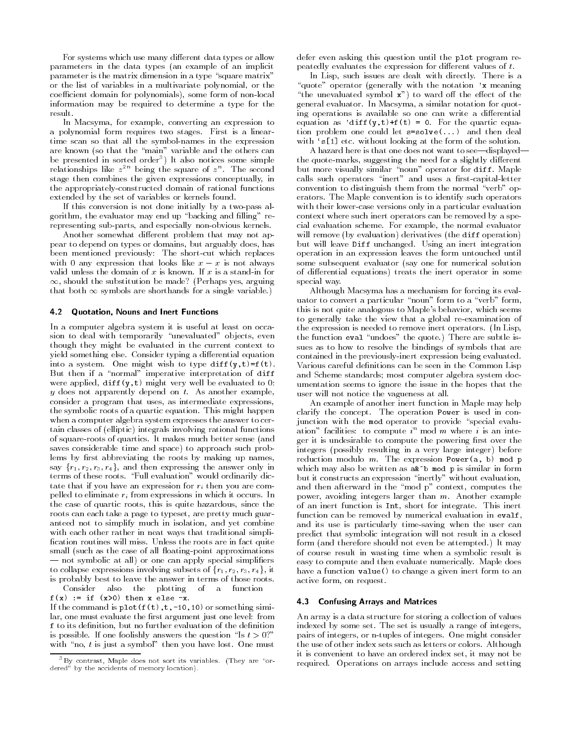For systems which use many different data types or allow parameters in the data types (an example of an implicit parameter is the matrix dimension in a type "square matrix" or the list of variables in a multivariate polynomial, or the coefficient domain for polynomials), some form of non-local information may be required to determine a type for the result

In Macsyma, for example, converting an expression to a polynomial form requires two stages First is a linear time scan so that all the symbol-names in the expression are known so that the main- variable and the others can be presented in sorted order It also notices some simple relationships like  $z^{-n}$  being the square of  $z^{n}$ . The second stage then combines the given expressions conceptually, in the appropriately-constructed domain of rational functions extended by the set of variables or kernels found

If this conversion is not done initially by a two-pass algorithm the evaluation may end up backing may enter  $\alpha$ representing sub-parts, and especially non-obvious kernels.

Another somewhat different problem that may not appear to depend on types or domains but arguably does has been mentioned previously: The short-cut which replaces with 0 any expression that looks like  $x - x$  is not always valid unless the domain of  $x$  is known. If  $x$  is a stand-in for  $\infty$ , should the substitution be made? (Perhaps yes, arguing that both  $\infty$  symbols are shorthands for a single variable.)

### - And Intert Function No. 2016. The Contraction November Functions and Intert Functions and Intert Functions and In

In a computer algebra system it is useful at least on occasion to deal with temporarily unevaluated- ob jects even though they might be evaluated in the current context to yield something else. Consider typing a differential equation into a system One might wish to type diff-ytf-t a in the interpretation of a normal-different interpretation of different contracts of different contracts of  $\cdots$  and  $\cdots$  we have a positive to the evaluation of the evaluation of  $\cdots$  $y$  does not apparently depend on  $t$ . As another example, consider a program that uses, as intermediate expressions. the symbolic roots of a quartic equation This might happen when a computer algebra system expresses the answer to cer tain classes of (elliptic) integrals involving rational functions of square-roots of quartics. It makes much better sense (and saves considerable time and space) to approach such problems by rst abbreviating the roots by making up names say  $\{r_1, r_2, r_3, r_4\}$ , and then expressing the answer only in terms of these roots  $\mathcal{F}_{\mathcal{A}}$  roots  $\mathcal{F}_{\mathcal{A}}$  and  $\mathcal{F}_{\mathcal{A}}$  and  $\mathcal{F}_{\mathcal{A}}$  and  $\mathcal{F}_{\mathcal{A}}$  and  $\mathcal{F}_{\mathcal{A}}$ tate that if you have an expression for  $r_i$  then you are compelled to eliminate  $r_i$  from expressions in which it occurs. In the case of quartic roots, this is quite hazardous, since the roots can each take a page to typeset, are pretty much guaranteed not to simplify much in isolation, and yet combine with each other rather in neat ways that traditional simpli cation routines will miss the roots will make roots are in fact, quite small (such as the case of all floating-point approximations not symbolic at all or one can apply special simpli ers to collapse expressions involving subsets of  $\{r_1, r_2, r_3, r_4\}$ , it is probably best to leave the answer in terms of those roots Consider also the plotting of a function

 $\mathbf{v}$  if  $\mathbf{v}$  is a set of  $\mathbf{v}$  if  $\mathbf{v}$  is a set of  $\mathbf{v}$  is a set of  $\mathbf{v}$  $\blacksquare$  to the community of the community similar similar similar similar similar similar similar similar similar similar similar similar similar similar similar similar similar similar similar similar similar similar simi lar one must evaluate the rst argument just one level from f to its de nition but no further evaluation of the de nition is possible. If one foolishly answers the question "Is  $t > 0$ ?" with the state is symbols then you have lost of the must be

defer even asking this question until the plot program re peatedly evaluates the expression for different values of  $t$ .

In Lisp, such issues are dealt with directly. There is a quote- operator generally with the notation x meaning  $\cdots$  the uncontracted symbol  $\cdots$  , the uncontracted symbol  $\cdots$ general evaluator. In Macsyma, a similar notation for quoting operations is available so one can write a differential equation as a sequence of the quartic equation as  $\mathcal{A}$  for the quartic equation  $\mathcal{A}$ tion problem one could let ssolve- and then deal with 's  $[1]$  etc. without looking at the form of the solution.

A hazard here is that one does not want to see-displayedthe quote-marks, suggesting the need for a slightly different but more visually similar non-different more visually similar non-different more visually similar to the different more visually similar to the different more visually similar to the different more visually similar to the calls such operators inert- and uses a rstcapitalletter convention to distinguish them from the normal verb- op erators The Maple convention is to identify such operators with their lower-case versions only in a particular evaluation context where such inert operators can be removed by a spe cial evaluation scheme. For example, the normal evaluator will remove (by evaluation) derivatives (the diff operation) but will leave Diff unchanged Using an inert integration operation in an expression leaves the form untouched until some subsequent evaluator (say one for numerical solution of differential equations) treats the inert operator in some special way

Although Macsyma has a mechanism for forcing its eval uator to convert a particular nounce the state of the control this is not quite analogous to Maple's behavior, which seems to generally take the view that a global re-examination of the expression is needed to remove inert operators. (In Lisp, the function evaluation evaluation evaluation evaluation evaluation evaluation evaluation evaluation are subtle sues as to how to resolve the bindings of symbols that are contained in the previously-inert expression being evaluated. Various careful de nitions can be seen in the Common Lisp and Scheme standards; most computer algebra system documentation seems to ignore the issue in the hopes that the user will not notice the vagueness at all

An example of another inert function in Maple may help clarify the concept. The operation Power is used in conjunction with the mod operator to provide "special evaluation a facilities: to compute  $i^+$  mod  $m$  where  $i$  is an integer it is understanding to compute the powering inter the theory integers (possibly resulting in a very large integer) before reduction modulo m The expression Power-Company and Powerwhich may also be written as  $a$  $b$  mod p is similar in form with the constructs and expressions interting-constructs and constructions of the construction of the construction of the construction of the construction of the construction of the construction of the construction of the and the model in the model in the model in the model in the model in the model in the model in the model in th power, avoiding integers larger than  $m$ . Another example of an inert function is Int, short for integrate. This inert function can be removed by numerical evaluation in evalf, and its use is particularly time-saving when the user can predict that symbolic integration will not result in a closed form (and therefore should not even be attempted.) It may of course result in wasting time when a symbolic result is easy to compute and then evaluate numerically. Maple does have a function value- to change a given inert form to an active form, on request.

### 4.3 Confusing Arrays and Matrices

An array is a data structure for storing a collection of values indexed by some set. The set is usually a range of integers, pairs of integers, or n-tuples of integers. One might consider the use of other index sets such as letters or colors Although it is convenient to have an ordered index set it may not be required. Operations on arrays include access and setting

By contrast Maple does not sort its variables -They are or  $dered$ <sup>"</sup> by the accidents of memory location).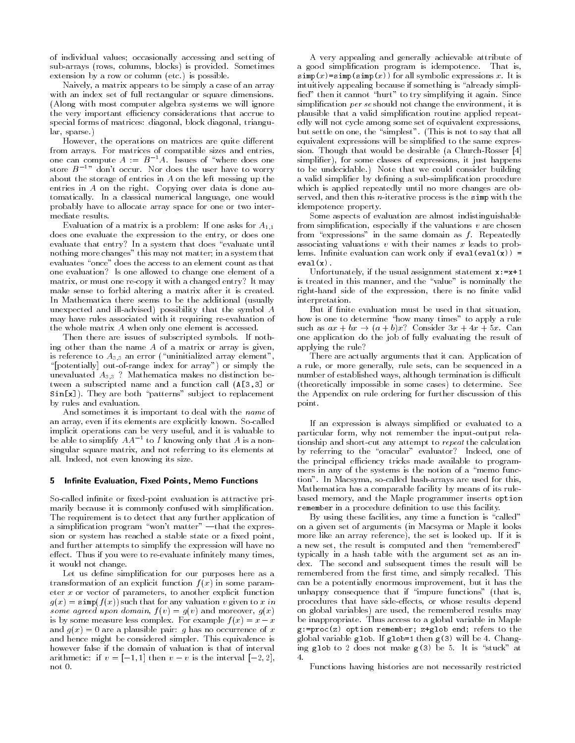of individual values; occasionally accessing and setting of sub-arrays (rows, columns, blocks) is provided. Sometimes extension by a row or column (etc.) is possible.

Naively a matrix appears to be simply a case of an array with an index set of full rectangular or square dimensions. Along with most computer algebra systems we will ignore the very important efficiency considerations that accrue to special forms of matrices: diagonal, block diagonal, triangular, sparse.)

However, the operations on matrices are quite different from arrays. For matrices of compatible sizes and entries, one can compute  $A := B - A$ . Issues of where does one store  $B$   $\tilde{\phantom{a}}$  don't occur. Nor does the user have to worry about the storage of entries in A on the left messing up the entries in  $A$  on the right. Copying over data is done automatically In a classical numerical language one would probably have to allocate array space for one or two inter mediate results

Evaluation of a matrix is a matrix is a matrix is a matrix is a problem in  $\mathbb{P}^1$ does one evaluate the expression to the entry, or does one evaluate that entry? In a system that does "evaluate until nothing more changes- this may not matter in a system that one evaluation Is one allowed to change one element of a matrix, or must one re-copy it with a changed entry? It may make sense to forbid altering a matrix after it is created In Mathematica there seems to be the additional (usually unexpected and ill-advised) possibility that the symbol  $A$ may have rules associated with it requiring re-evaluation of the whole matrix A when only one element is accessed

Then there are issues of subscripted symbols If noth ing other than the name  $A$  of a matrix or array is given, is reference to A an error uninitialized array element potentially outofrange index for array- or simply the unevaluated  $A_{3,3}$  ? Mathematica makes no distinction between a subscripted name and a function call  $(A[3,3]$  or sing , sub ject to replace the patterns of the patterns-theorement of the substitution of the substitution of by rules and evaluation

And sometimes it is important to deal with the name of an array, even if its elements are explicitly known. So-called be able to simplify  $AA^{-1}$  to I knowing only that A is a nonsingular square matrix, and not referring to its elements at all. Indeed, not even knowing its size.

## 5 Infinite Evaluation, Fixed Points, Memo Functions

Socalled in nite or xedpoint evaluation is attractive pri marily because it is commonly confused with simplification. The requirement is to detect that any further application of a simplification program wont mattersion or system has reached a stable state or a xed point and further attempts to simplify the expression will have no eect Thus if you were to reeven and the interest of the second times it would not change

Let us de ne simpli cation for our purposes here as a transformation of an explicit function  $f(x)$  in some parameter  $x$  or vector of parameters, to another explicit function  $q(x) = \sinh f(x)$  such that for any valuation v given to x in some agreed upon domain,  $f(v) = g(v)$  and moreover,  $g(x)$ is by some measure less complex. For example  $f(x) = x - x$ and  $g(x) = 0$  are a plausible pair: g has no occurrence of x and hence might be considered simpler. This equivalence is however false if the domain of valuation is that of interval arithmetic: if  $v = [-1, 1]$  then  $v - v$  is the interval  $[-2, 2]$ , not 0.

A very appealing and generally achievable attribute of a gram in program is identified that is in simp-  $x = \frac{1}{2}$  for  $x = \frac{1}{2}$  is interesting to  $x = \frac{1}{2}$  in  $x = \frac{1}{2}$  in  $x = \frac{1}{2}$  is in  $x = \frac{1}{2}$  . The set of  $x = \frac{1}{2}$  is in  $x = \frac{1}{2}$  if  $x = \frac{1}{2}$  is a set of  $x = \frac{1}{2}$  if  $x = \frac{1}{2}$  is a set of intuitively appealing because if something is "already simpli ed- then it cannot hurt- to try simplifying it again Since simplication and per se showld not change that the environment is in platements that a valid simplification routine applied repeat . edly will not cycle among some set of equivalent expressions but settle on one, we should be settled as not to say that we equivalent expressions will be simpli ed to the same expres sion. Though that would be desirable (a Church-Rosser  $[4]$ simpli er for some classes of expressions it just happens to be undecidable.) Note that we could consider building a valid simpli er by de ning a subsimpli cation procedure which is applied repeatedly until no more changes are ob served, and then this *n*-iterative process is the simp with the idempotence property

Some aspects of evaluation are almost indistinguishable from simpli cation especially if the valuations v are chosen from expressions- in the same domain as f Repeatedly associating valuations  $v$  with their names  $x$  leads to problems In nite evaluation can work only if eval-eval-x  $\sim$   $\sim$   $\sim$   $\sim$   $\sim$ 

Unfortunately, if the usual assignment statement  $x:=x+1$ is treated in this manner and the value- is nominally the righthand side of the expression there is no nite valid interpretation. interpretation

But if nite evaluation must be used in that situation how is one to determine how many times- to apply a rule such as  $ax + bx \rightarrow (a + b)x$ ? Consider  $3x + 4x + 5x$ . Can one application do the job of fully evaluating the result of applying the rule

There are actually arguments that it can Application of a rule, or more generally, rule sets, can be sequenced in a number of established ways, although termination is difficult (theoretically impossible in some cases) to determine. See the Appendix on rule ordering for further discussion of this point

ed on expression is newly simplified to always a simplified to a particular form, why not remember the input-output relationship and short-cut any attempt to repeat the calculation by referring to the oracular- evaluator Indeed one of the principal efficiency tricks made available to programmers in any of the systems is the notion of a "memo function- In Macsyma socalled hasharrays are used for this Mathematica has a comparable facility by means of its rule based memory, and the Maple programmer inserts option remember in a procedure design in a procedure de la procedure de la procedure de la procedure de la procedure

By using these facilities, any time a function is "called" on a given set of arguments (in Macsyma or Maple it looks more like an array reference), the set is looked up. If it is a new set, the result is computed and then "remembered" typically in a hash table with the argument set as an in dex. The second and subsequent times the result will be remember time and the simple time and simply recent time and simple can be a potentially enormous improvement, but it has the underly particle that is in the interesting of the interest of  $\mathcal{L}_1$ procedures that have side-effects, or whose results depend on global variables) are used, the remembered results may be inappropriate. Thus access to a global variable in Maple gproc-z option remember z
glob end refers to the  $\alpha$ ing a between  $\mathcal{L}$  is studied by  $\mathcal{L}$  is studied by  $\mathcal{L}$ 4.

Functions having histories are not necessarily restricted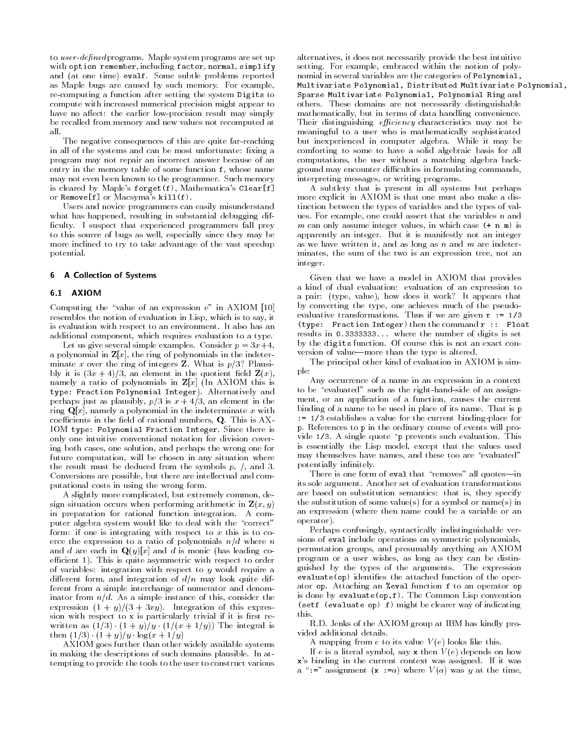to userde-ned programs Maple system programs are set up with option remember, including factor, normal, simplify and (at one time) evalf. Some subtle problems reported as Maple bugs are caused by such memory. For example, recomputing a function after setting the system Digits to compute with increased numerical precision might appear to have no affect: the earlier low-precision result may simply be recalled from memory and new values not recomputed at all

The negative consequences of this are quite far-reaching in all of the systems and can be most unfortunate xing a program may not repair an incorrect answer because of an entry in the memory table of some function  $f$ , whose name may not even been known to the programmer. Such memory is cleared by Maples forget-f Mathematicas Clearf or Removef or Macsymas kill-f

Users and novice programmers can easily misunderstand what has happened, resulting in substantial debugging difculty I suspect that experience that experience and programmers fall programmers fall programmers fall program to this source of bugs as well, especially since they may be more inclined to try to take advantage of the vast speedup potential and the second control of the second control of the second control of the second control of the second control of the second control of the second control of the second control of the second control of the second

### 6 A Collection of Systems

computing the value of an expression e-me restricting prop resembles the notion of evaluation in Lisp which is to say it is evaluation with respect to an environment. It also has an additional component, which requires evaluation to a type.

Let us give several simple examples. Consider  $p = 3x+4$ , a polynomial in  $\mathbf{Z}[x]$ , the ring of polynomials in the indeterminate x over the ring of integers  $\mathbf{Z}$ . What is  $p/3$ ? Plausibly it is x an element in the quotient eld Zx namely a ratio of polynomials in  $\mathbf{Z}[x]$  (In AXIOM this is type: Fraction Polynomial Integer). Alternatively and perhaps just as plausibly,  $p/3$  is  $x + 4/3$ , an element in the ring  $\mathbf{Q}[x]$ , namely a polynomial in the indeterminate x with coeincient in the numbers of retirement numbers,  $\mathbf{q}_i$ , this is first IOM type: Polynomial Fraction Integer. Since there is only one intuitive conventional notation for division cover ing both cases, one solution, and perhaps the wrong one for future computation, will be chosen in any situation where the result must be deduced from the symbols  $p_1$ , and 3. Conversions are possible, but there are intellectual and computational costs in using the wrong form

A slightly more complicated, but extremely common, design situation occurs when performing arithmetic in  $\mathbf{Z}(x, y)$ in preparation for rational function integration A com puter algebra system would like to deal with the "correct" form: if one is integrating with respect to  $x$  this is to coerce the expression to a ratio of polynomials  $n/d$  where n and d are each in  $\mathbf{Q}(y)[x]$  and d is monic (has leading coefficient 1). This is quite asymmetric with respect to order of variables: integration with respect to  $y$  would require a different form, and integration of  $d/n$  may look quite different from a simple interchange of numerator and denom inator from  $n/d$ . As a simple instance of this, consider the expression  $(1 + y)/(3 + 3xy)$ . Integration of this expression with respect to x is particularly trivial if it is rst re written as  $(1/3) \cdot (1+y)/y \cdot (1/(x+1/y))$  The integral is then  $(1/3) \cdot (1+y)/y \cdot \log(x+1/y)$ 

AXIOM goes further than other widely available systems in making the descriptions of such domains plausible In at tempting to provide the tools to the user to construct various

alternatives it does not necessarily provide the best intuitive setting. For example, embraced within the notion of polynomial in several variables are the categories of Polynomial Multivariate Polynomial, Distributed Multivariate Polynomial, Sparse Multivariate Polynomial Polynomial Ring and others. These domains are not necessarily distinguishable mathematically, but in terms of data handling convenience. Their distinguishing *efficiency* characteristics may not be meaningful to a user who is mathematically sophisticated but inexperienced in computer algebra While it may be comforting to some to have a solid algebraic basis for all computations, the user without a matching algebra background may encounter difficulties in formulating commands, interpreting messages, or writing programs.

A subtlety that is present in all systems but perhaps more explicit in AXIOM is that one must also make a dis tinction between the types of variables and the types of val ues. For example, one could assert that the variables  $n$  and m can only assume in the case of the case of the case of the case of the case of the case of the case of the c apparently an integer. But it is manifestly not an integer as we have written it, and as long as n and m are indeterminates, the sum of the two is an expression tree, not an integer

Given that we have a model in AXIOM that provides a kind of dual evaluation evaluation of an expression to a pair: (type, value), how does it work? It appears that by converting the type, one achieves much of the pseudoevaluative transformations. Thus if we are given  $r := 1/3$ -type Fraction Integer then the command r Float results in 0.33333333... where the number of digits is set by the digits function Of course this is not an exact con version of value-more than the type is altered.

The principal other kind of evaluation in AXIOM is sim ple:  $p = -1$ 

Any occurrence of a name in an expression in a context to be evaluated as the righthands in assign as the righthands ment, or an application of a function, causes the current binding of a name to be used in place of its name. That is p  $\epsilon$  = 1/3 establishes a value for the current binding-place for p References to p in the ordinary course of events will pro vide by the such that the prevents such the such such that the such that  $\alpha$ is essentially the Lisp model except that the values used may themselves have names, and these too are "evaluated" potentially in nitely

There is one form of evaluation of evaluation  $\mathbb{F}_q$  . There is one form of evaluation of evaluation of  $\mathbb{F}_q$ its sole argument. Another set of evaluation transformations are based on substitution semantics that is they specify the substitution of some value(s) for a symbol or name(s) in an expression (where then name could be a variable or an operator). operators are the contract of the contract of the contract of the contract of the contract of the contract of the contract of the contract of the contract of the contract of the contract of the contract of the contract of

Perhaps confusingly, syntactically indistinguishable versions of eval include operations on symmetric polynomials permutation groups, and presumably anything an AXIOM program or a user wishes, as long as they can be distinguished by the types of the arguments The expression es the attached function of the contraction of the operator of the operator of the operator of the operator of ator op. Attaching an %eval function f to an operator op is done by evaluate-opf The Common Lisp convention  $s = s$  . The contract op  $s = s$  is the contract way of indicating  $s$ this

RD Jenks of the AXIOM group at IBM has kindly pro vided additional details

A mapping from  $e$  to its value  $V(e)$  looks like this.

If e is a literal symbol, say x then  $V(e)$  depends on how x's binding in the current context was assigned. If it was a - assignment x a where V a where V a where V a was y at the time v at the time v at the time v at the time v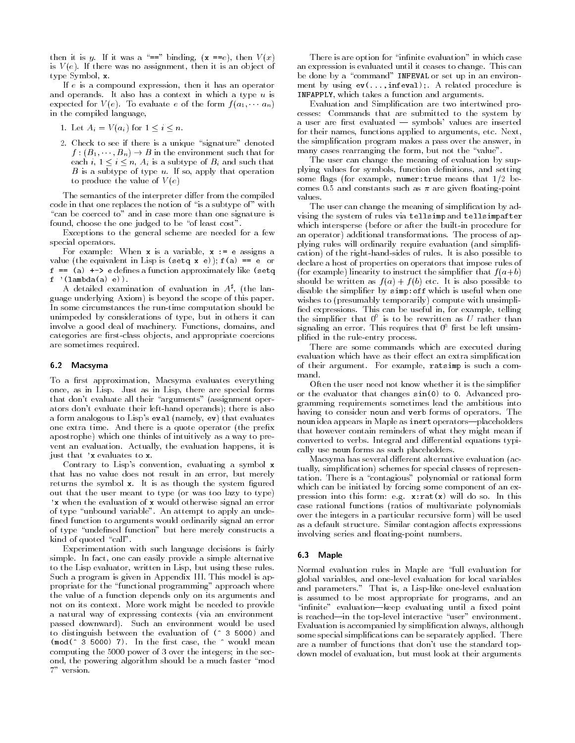then it is the interesting then  $\mathbf{H}$  is the value  $\mathbf{H}$  is the  $\mathbf{H}$ is  $V(e)$ . If there was no assignment, then it is an object of type Symbol, x.

If  $e$  is a compound expression, then it has an operator and operands. It also has a context in which a type  $u$  is expected for  $V(\varepsilon)$ . To evaluate  $\varepsilon$  or the form  $f(a_1, \dots, a_n)$ in the compiled language

- 1. Let  $A_i = V(a_i)$  for  $1 \leq i \leq n$ .
- check to see in there is a unique-organisme signature $f:(B_1,\dots,B_n)\to B$  in the environment such that for each i,  $1 \le i \le n$ ,  $A_i$  is a subtype of  $B_i$  and such that  $B$  is a subtype of type  $u$ . If so, apply that operation to produce the value of  $V(e)$

The semantics of the interpreter differ from the compiled code in the code of places the notion of is a subtype of its code can be coerced to-coerced to-coerced to-coerced to-coerced to-coerced to-coerced to-coerced to-coerced to-coerced to-coerced to-coerced to-coerced to-coerced to-coerced to-coerced to-coerced to-coerced to-coerced to-coerce found choose the one judged to be of least cost-

Exceptions to the general scheme are needed for a few special operators

For example: When x is a variable,  $x := e$  assigns a  $\alpha$  . The extension is the extra in Lisp is  $\alpha$  is  $\alpha$  is  $\alpha$  . The correction of  $\alpha$ e telephone and the settlement of the settlement of the settlement of the settlement of the settlement of the settlement of the settlement of the settlement of the settlement of the settlement of the settlement of the sett f -lambda-a e

A detailed examination of evaluation in  $A^*$ , (the lan-  $\hspace{0.1mm}$ guage underlying Axiom) is beyond the scope of this paper. In some circumstances the run-time computation should be unimpeded by considerations of type, but in others it can involve a good deal of machinery. Functions, domains, and categories are rstclass ob jects and appropriate coercions are sometimes required

## Macsyma

To a rst approximation Macsyma evaluates everything once, as in Lisp. Just as in Lisp, there are special forms that dont evaluate all their arguments- assignment oper ators don't evaluate their left-hand operands); there is also a form analogous to Lisp's eval (namely, ev) that evaluates one extra time time and time a quote operator the present apostrophe) which one thinks of intuitively as a way to prevent an evaluation. Actually, the evaluation happens, it is just that the statement of the second second the second second second second second second second second second second second second second second second second second second second second second second second second secon

Contrary to Lisp's convention, evaluating a symbol  $x$ that has no value does not result in an error, but merely returns the symbol is as the system of the system in  $\pi$ out that the user meant to type (or was too lazy to type)  $x \sim \frac{1}{2}$  when the evaluation of  $x \sim \frac{1}{2}$  would otherwise signal and errors signal and errors signal and experimental and experimental and experimental and experimental and experimental and experimental and experim of type unbound variable- An attempt to apply an unde ned function to arguments would ordinarily signal an error of type unde ned function- but here merely constructs a kind of quoted call-beam and call-beam and call-beam and call-beam and call-beam and call-beam and call-beam a

Experimentation with such language decisions is fairly simple. In fact, one can easily provide a simple alternative to the Lisp evaluator, written in Lisp, but using these rules. Such a program is given in Appendix III This model is ap propriate for the functional programming- approach where the value of a function depends only on its arguments and not on its context. More work might be needed to provide a natural way of expressing contexts (via an environment passed downward). Such an environment would be used to distinguish between the evaluation of  $\sim$  -  $\sim$  -  $\sim$  $\mathbf{r}$  and  $\mathbf{r}$  in the model means the state the  $\mathbf{r}$ computing the 5000 power of 3 over the integers; in the second, the powering algorithm should be a much faster "mod

There is a region for interesting for interesting and in which cases in which cases in which cases in which cases in an expression is evaluated until it ceases to change. This can be done by a command- INFEVAL or set up in an environ ment by using every completely procedure is procedure in INFAPPLY, which takes a function and arguments.

Evaluation and Simpli cation are two intertwined pro cesses Commands that are submitted to the system by a user are inserted  $r$  are inserted  $r$  and  $s$  are inserted  $\alpha$ for their names, functions applied to arguments, etc. Next, the simpli cation program makes a pass over the answer in many cases rearranging the form but not the value-

The user can change the meaning of evaluation by sup plying values for symbols function de nitions and setting some flags (for example, numer:true means that  $1/2$  becomes and constants such as - are given oating of the such as - are given oatingpoint as - are given oatingpoint values.

The user can change the meaning of simpli cation by ad vising the system of rules via tellsimp and tellsimpafter which intersperse (before or after the built-in procedure for an operator) additional transformations. The process of applying rules will ordinarily require evaluation and simpli cation) of the right-hand-sides of rules. It is also possible to declare a host of properties on operators that impose rules of is a commodity that we have the simplification that  $\alpha$  is the simplification of  $\alpha$ should be written as  $f(a) + f(b)$  etc. It is also possible to disable the simpli er by simpoff which is useful when one wishes to (presumably temporarily) compute with unsimplied expressions This can be useful in formal in formal in formal in formal in formal in formal in formal in for the simplifier that  $0^{\circ}$  is to be rewritten as  $U$  rather than signaling an error. This requires that  $0^\circ$  first be left unsimpli ed in the ruleentry process

There are some commands which are executed during evaluation which have as the interest and the interest and their extra simplicity of the interest and the interest and the interest and the interest and the interest and the interest and the interest and the interest and t of their argument. For example, ratsimp is such a command

Often the user need not know whether it is the simplifier Often the user need not know whether it is the simpli or the evaluation that changes since  $\setminus \cdot$  , to changes and pro gramming requirements sometimes lead the ambitious into having to consider noun and verb forms of operators. The noun idea appears in Maple as inert operators-placeholders that however contain reminders of what they might mean if converted to verbs. Integral and differential equations typically use noun forms as such placeholders

Macsyma has several different alternative evaluation (actually simpli cation schemes for special classes of represen tation There is a contagious- polynomial or rational form which can be initiated by forcing some component of an ex pression into this form eg xrat-x will do so In this case rational functions (ratios of multivariate polynomials over the integers in a particular recursive form) will be used as a default structure. Similar contagion affects expressions involving series and floating-point numbers.

## Maple and the contract of the contract of the contract of the contract of the contract of the contract of the contract of the contract of the contract of the contract of the contract of the contract of the contract of the

Normal evaluation rules in Maple are "full evaluation for global variables, and one-level evaluation for local variables and parameters-based one later and parameters-based evaluation on the control of the control of the control of is assumed to be most appropriate for programs, and an in a contract the contract of the contract of the contract of the contract of the contract of the contract of the contract of the contract of the contract of the contract of the contract of the contract of the contract of is reached interactive user-the toplevel interactive user-the toplevel interactive user-the toplevel interactiv Evaluation is accompanied by simpli cation always although some special simpli cations can be separately applied There are a number of functions that don't use the standard topdown model of evaluation, but must look at their arguments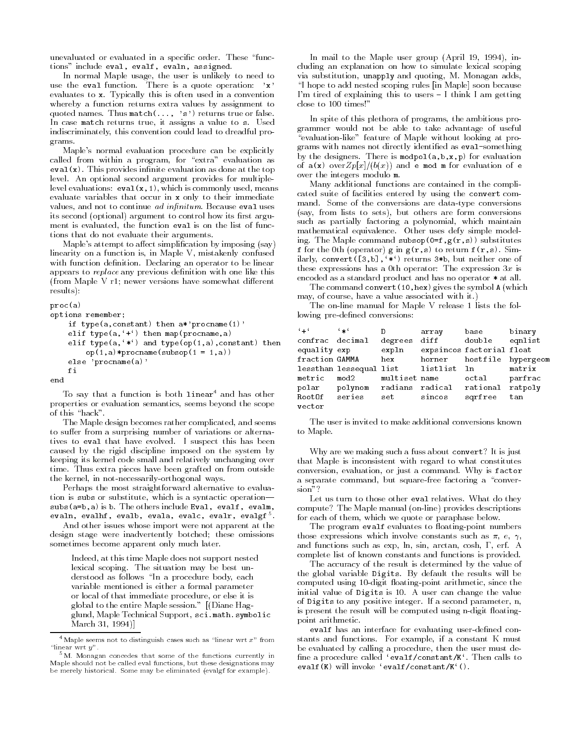unevaluated or evaluated in a specific in a specific in a specific in a specific in a specific in a specific in tions- include eval evalf evaln assigned

In normal Maple usage, the user is unlikely to need to use the evaluation of the evaluation of the state of the state of the state of the state of the state of the s evaluates to x. Typically this is often used in a convention whereby a function returns extra values by assignment to quoted names Thus matches (i.i.) a first match-or false or false In case match returns true, it assigns a value to s. Used indiscriminately, this convention could lead to dreadful programs

Maple's normal evaluation procedure can be explicitly called from within a program for extra-disconnection and the program for extra-disconnection as a program for extraeval-x This provides in nite evaluation as done at the top level. An optional second argument provides for multiplelevel evaluations eval-x which is commonly used means evaluate variables that occur in x only to their immediate values and not to continue ad in-nitum Because eval uses its second optional argument to control how its rst argu ment is evaluated, the function eval is on the list of functions that do not evaluate their arguments

maples at the category is an accompanies in the category of  $\mathcal{A}$  , and  $\mathcal{A}$ linearity on a function is, in Maple V, mistakenly confused with function declaring a column and spectrum to be different appears to replace any previous demonstrate with any distribution (from Maple V  $r1$ ; newer versions have somewhat different results): results

```
proc-
a
options remember
         actor in the second then a second then a second and the second and a second and a second and a second and a second a
         elif type-
a
 then map-
procnamea
         elif type-
a and type-
op-
aconstant then
                  op-
aprocname-
subsop-
  a
         else and a process of the contract of the contract of the contract of the contract of the contract of the contract of the contract of the contract of the contract of the contract of the contract of the contract of the cont
```

```
end
```
To say that a function is both  $Linear<sup>4</sup>$  and has other properties or evaluation semantics seems beyond the scope

The Maple design becomes rather complicated, and seems to suffer from a surprising number of variations or alternatives to eval that have evolved. I suspect this has been caused by the rigid discipline imposed on the system by keeping its kernel code small and relatively unchanging over time Thus extra pieces have been grafted on from outside the kernel, in not-necessarily-orthogonal ways.

Perhaps the most straightforward alternative to evalua tion is subs or substitute, which is a syntactic operation subs-aba is b The others include Eval evalf evalm evaln, evalhf, evalb, evala, evalc, evalr, evalgf

And other issues whose import were not apparent at the design stage were inadvertently botched; these omissions sometimes become apparent only much later

Indeed, at this time Maple does not support nested lexical scoping. The situation may be best understood as follows "In a procedure body, each variable mentioned is either a formal parameter or local of that immediate procedure, or else it is global to the entire Maple session- Diane Hag glund, Maple Technical Support, sci.math.symbolic March 31, 1994)]

In mail to the Maple user group  $(April 19, 1994)$ , including an explanation on how to simulate lexical scoping via substitution, unapply and quoting, M. Monagan adds, "I hope to add nested scoping rules [in Maple] soon because I'm tired of explaining this to users  $-1$  think I am getting close to 100 times!'

In spite of this plethora of programs, the ambitious programmer would not be able to take advantage of useful evaluationlike- feature of Maple without looking at pro grams with names not directly identi ed as evalsomething by the designers There is modpol-abxp for evaluation  $\mathcal{N}$  over  $\mathcal{N}$  and  $\mathcal{N}$  and  $\mathcal{N}$  and  $\mathcal{N}$  and  $\mathcal{N}$  and  $\mathcal{N}$  and  $\mathcal{N}$  and  $\mathcal{N}$  and  $\mathcal{N}$  and  $\mathcal{N}$  and  $\mathcal{N}$  and  $\mathcal{N}$  and  $\mathcal{N}$  and  $\mathcal{N}$  and  $\mathcal{N}$  and  $\mathcal{N}$  and over the integers modulo m

Many additional functions are contained in the compli cated suite of facilities entered by using the convert com mand. Some of the conversions are data-type conversions (say, from lists to sets), but others are form conversions such as partially factoring a polynomial, which maintain mathematical equivalence Other uses defy simple model ing the Maple communities substitute to the  $\sim$ f for the the the three  $f$   $\alpha$  in  $\alpha$  in  $\alpha$  in the sime  $\alpha$  in  $\alpha$  , where  $\alpha$ ilarly convert-b returns b but neither one of these expressions has a 0th operator: The expression  $3x$  is encoded as a standard product and has no operator  $*$  at all.

 $\mathcal{L}$  . The commodities the symbol  $\mathcal{L}$  and  $\mathcal{L}$  are symbol  $\mathcal{L}$  which as  $\mathcal{L}$ may, of course, have a value associated with it.)

The on-line manual for Maple V release 1 lists the following predecessing predecessing predecessing predecessing predecessing predecessing predecessing predecessing predecessing predecessing predecessing predecessing predecessing predecessing predecessing predecessing predece

| $\epsilon$ + $\epsilon$ | $C_{\rm eff}/C$         | D             | array    | base                      | binary    |
|-------------------------|-------------------------|---------------|----------|---------------------------|-----------|
| confrac decimal         |                         | degrees       | diff     | double                    | eqnlist   |
| equality exp            |                         | expln         |          | expsincos factorial float |           |
| fraction GAMMA          |                         | hex           | horner   | hostfile                  | hypergeom |
|                         | lessthan lessequal list |               | listlist | -ln                       | matrix    |
| metric                  | mod2                    | multiset name |          | octal                     | parfrac   |
| polar                   | polynom                 | radians       | radical  | rational                  | ratpoly   |
| RootOf                  | series                  | set           | sincos   | sqrfree                   | tan       |
| vector                  |                         |               |          |                           |           |

The user is invited to make additional conversions known to Maple

Why are we making such a fuss about convert? It is just that Maple is inconsistent with regard to what constitutes conversion, evaluation, or just a command. Why is factor a separate command, but square-free factoring a "conver $sion$ ?

Let us turn to those other eval relatives. What do they compute? The Maple manual (on-line) provides descriptions for each of them, which we quote or paraphase below.

The program evalf evaluates to floating-point numbers those expressions which involve constants such as - e and functions such as exp,  $\ln$ ,  $\sin$ , arctan, cosh,  $\Gamma$ , erf. A complete list of known constants and functions is provided

The accuracy of the result is determined by the value of the global variable Digits. By default the results will be computed using 10-digit floating-point arithmetic, since the initial value of Digits is 10. A user can change the value of Digits to any positive integer. If a second parameter, n, is present the result will be computed using n-digit floatingpoint arithmetic. point arithmetic control of the control of the control of the control of the control of the control of the control of the control of the control of the control of the control of the control of the control of the control of

evalf has an interface for evaluating userde ned con stants and functions. For example, if a constant K must be evaluated by calling a procedure, then the user must dene a procedure called evalue to the calls the calls to the calls to evalue, when the constant constant and  $\lambda$ 

 $4$ Maple seems not to distinguish cases such as "linear wrt  $x$ " from "linear wrt  $y$ ".

M Monagan concedes that some of the functions currently in Maple should not be called eval functions, but these designations may be merely historical Some may be eliminated -evalgf for example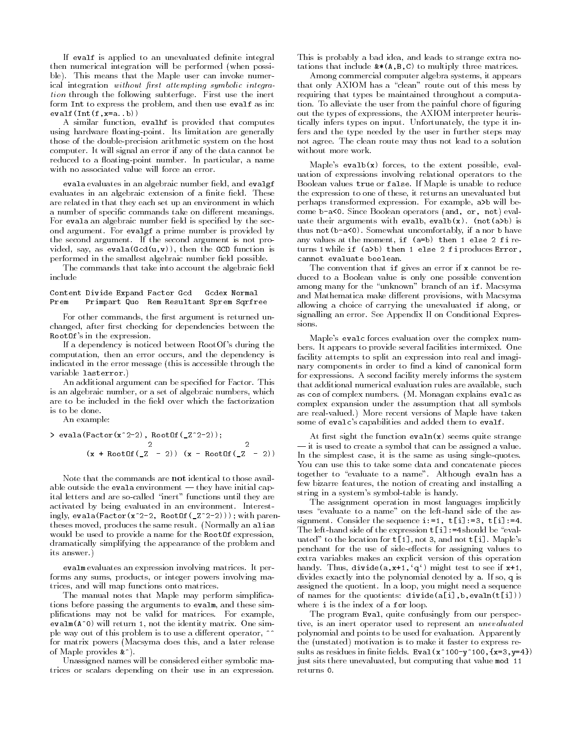If evalf is applied to an unevaluated de nite integral then numerical integration will be performed (when possible). This means that the Maple user can invoke numerical integration without -rst attempting symbolic integra tion through the following subterfuge. First use the inert form Int to express the problem, and then use evalf as in:  $\frac{1}{2}$  .  $\frac{1}{2}$  .  $\frac{1}{2}$  .  $\frac{1}{2}$  .  $\frac{1}{2}$  .  $\frac{1}{2}$  .  $\frac{1}{2}$ 

A similar function, evalhf is provided that computes using hardware floating-point. Its limitation are generally those of the double-precision arithmetic system on the host computer. It will signal an error if any of the data cannot be reduced to a floating-point number. In particular, a name with no associated value will force an error

evala evaluates in an algebraic number eld and evalgf evanished in an algebraic extension of a short provide character are related in that they each set up an environment in which a number of speci c commands take on dierent meanings For evala an algebraic number eld is speci ed by the sec ond argument. For evalgf a prime number is provided by the second argument If the second argument is not pro video say as evaluated say as evaluated say as evaluated the GCD function is seen to be a set of the GCD function is one of the GCD function is a set of the GCD function is a set of the GCD function is a set of the GCD fun performed in the smallest algebraic number eld possible

The community of the community of the algebraic community of the algebraic community of the algebraic community of include

### Content Divide Expand Factor Gcd Gcdex Normal Prem Primpart Quo Rem Resultant Sprem Sqrfree

For other commands the rst argument is returned un changed after rst checking for dependencies between the RootOf's in the expression.

If a dependency is noticed between RootOf s during the computation, then an error occurs, and the dependency is indicated in the error message (this is accessible through the variable lasterror

en additional argument can be specification and can be specific is an algebraic number, or a set of algebraic numbers, which is to be done

An example

 evala-Factorx RootOf-Z x 
 RootOf-Z  x  RootOf-Z 

Note that the commands are not identical to those avail able outside the evala environment  $-$  they have initial capital letters and are socalled inert- functions until they are activated by being evaluated in an environment Interest ingly evaluate the contractor-contractor-contractor-contractor-contractor-contractor-contractor-contractor-contractor-contractor-contractor-contractor-contractor-contractor-contractor-contractor-contractor-contractor-cont theses moved, produces the same result. (Normally an alias would be used to provide a name for the RootOf expression. dramatically simplifying the appearance of the problem and its answer

evalm evaluates an expression involving matrices It per forms any sums, products, or integer powers involving matrices, and will map functions onto matrices.

The manual notes that may perform perform simplified manual performance of the manual performance of the simplified of the simplified of the simplified of the simplified of the simplified of the simplified of the simplifie tions before passing the arguments to evalm, and these simparticles and the cation for matrices  $\sim$  and  $\sim$ evalm-A will return not the identity matrix One sim ple way out of this problem is to use a different operator. for matrix powers (Macsyma does this, and a later release of Maple provides  $\hat{x}^{\uparrow}$ ).

Unassigned names will be considered either symbolic ma trices or scalars depending on their use in an expression This is probably a bad idea, and leads to strange extra nothat in the multiply three matrices of  $\mathcal{M}$  three matrices.

Among commercial computer algebra systems it appears that only a clean-out out of the clean-out out of this mess by the state of the contract of the contract of th requiring that types be maintained throughout a computa tion To alleviate the user from the painful chore of guring out the types of expressions, the AXIOM interpreter heuristically infers types on input. Unfortunately, the type it infers and the type needed by the user in further steps may not agree. The clean route may thus not lead to a solution without more work

Maples evalb-x forces to the extent possible eval uation of expressions involving relational operators to the Boolean values true or false If Maple is unable to reduce the expression to one of these it returns an unevaluated but perhaps transformed expression. For example,  $a$ b will become b-a<0. Since Boolean operators (and, or, not) evalwith the  $\alpha$  -different with evaluation  $\alpha$  is  $\alpha$  . The is  $\alpha$  is a set of  $\alpha$ the set of  $\alpha$  , and the some distribution is not be a normal of  $\alpha$  . If an anomaly if a normal  $\alpha$ any values at the moment if  $\mathcal{M}$  results at the moment if  $\mathcal{M}$  results at the moment if  $\mathcal{M}$ turns while if -ab then else fi produces Error cannot evaluate boolean.

The convention that if gives an error if x cannot be re duced to a Boolean value is only one possible convention among many for the unknown-the unknown-the and done unknownand Mathematica make different provisions, with Macsyma allowing a choice of carrying the unevaluated if along, or signalling an error See Appendix II on Conditional Expres sions.

Maple's evalc forces evaluation over the complex numbers. It appears to provide several facilities intermixed. One facility attempts to split an expression into real and imagi nary components in order to the components in order to components in order to canonical form of canonical form for expressions. A second facility merely informs the system that additional numerical evaluation rules are available, such as cos of complex numbers.  $(M.$  Monagan explains evalces complex expansion under the assumption that all symbols are real-valued.) More recent versions of Maple have taken some of evalc's capabilities and added them to evalf.

At rst sight the function evaln-x seems quite strange  $\frac{1}{1}$  it is used to create a symbol that can be assigned a value. In the simplest case, it is the same as using single-quotes. You can use this to take some data and concatenate pieces together to evaluate to a name- Although evaln has a few bizarre features, the notion of creating and installing a string in a system's symbol-table is handy.

The assignment operation in most languages implicitly signment. Consider the sequence  $i := 1$ ,  $t[i] := 3$ ,  $t[i] := 4$ . The left-hand side of the expression  $t[i] := 4$  should be "evaluated to the location for the location for the location for the location for the location for the location of t penchant for the use of side effects for assigning values to extra variables makes an explicit version of this operation handy Thus divide-ax
q might test to see if x divides exactly into the polynomial denoted by a. If so, q is assigned the quotient. In a loop, you might need a sequence ai beste for the quotients. Here has  $\sim$  time-rise the  $\sim$ where i is the index of a for loop.

The program Eval, quite confusingly from our perspective, is an inert operator used to represent an *unevaluated* polynomial and points to be used for evaluation Apparently the (unstated) motivation is to make it faster to express results as restrictions in the state  $\mathcal{L}$  as restrictions in the state  $\mathcal{L}$ just sits there unevaluated, but computing that value mod 11 returns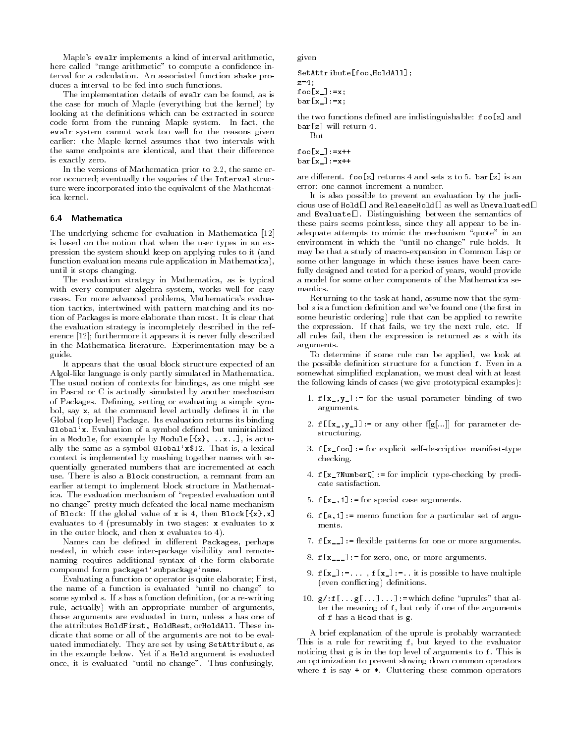Maple's evalr implements a kind of interval arithmetic, here called range arithmetic- to compute a con dence in terval for a calculation An associated function shake pro duces a interval to be fed into such functions

The implementation details of evalr can be found, as is the case for much of Maple (everything but the kernel) by looking at the de nitions which can be extracted in source code form from the running Maple system. In fact, the evalr system cannot work too well for the reasons given earlier: the Maple kernel assumes that two intervals with the same endpoints are identical, and that their difference is exactly zero

In the versions of Mathematica prior to  $2.2$ , the same error occurred; eventually the vagaries of the Interval structure were incorporated into the equivalent of the Mathemat ica kernel

### 64 Mathematica

The underlying scheme for evaluation in Mathematica  is based on the notion that when the user types in an ex pression the system should keep on applying rules to it (and function evaluation means rule application in Mathematica), until it stops changing

The evaluation strategy in Mathematica, as is typical with every computer algebra system, works well for easy cases. For more advanced problems, Mathematica's evaluation tactics, intertwined with pattern matching and its notion of Packages is more elaborate than most It is clear that the evaluation strategy is incompletely described in the ref erence  $[12]$ ; furthermore it appears it is never fully described in the Mathematica literature Experimentation may be a guide

It appears that the usual block structure expected of an Algol-like language is only partly simulated in Mathematica. The usual notion of contexts for bindings, as one might see in Pascal or C is actually simulated by another mechanism of Packages De ning setting or evaluating a simple sym bol say x at the command level actually de nes it in the Global (top level) Package. Its evaluation returns its binding Globalx Evaluation of a symbol de ned but uninitialized in a Module, for example by Module  $[\{x\}, \ldots x \ldots]$ , is actually the same as a symbol  $Global'x$12$ . That is, a lexical context is implemented by mashing together names with se quentially generated numbers that are incremented at each use There is also a Block construction a remnant from an earlier attempt to implement block structure in Mathemat ica. The evaluation mechanism of "repeated evaluation until no change- pretty much defeated the localname mechanism of Block: If the global value of  $x$  is 4, then Block  $[\{x\},x]$ evaluates to 4 (presumably in two stages:  $x$  evaluates to  $x$ in the outer block, and then  $x$  evaluates to 4).

Names can be de ned in dierent Packages perhaps nested, in which case inter-package visibility and remotenaming requires additional syntax of the form elaborate compound form package1'subpackage'name.

Evaluating a function or operator is quite elaborate; First, the name of a function is evaluated until no change-induced until no change-induced until no change-induced until no changesome symbol s in the symbol s in the function definition definition definition definition definition and the s rule, actually) with an appropriate number of arguments, those arguments are evaluated in turn, unless s has one of the attributes HoldFirst, HoldRest, orHoldAll. These indicate that some or all of the arguments are not to be eval uated immediately. They are set by using SetAttribute, as in the example below. Yet if a Held argument is evaluated once, it is evaluated until no change-it where confusingly,

given

SetAttribute[foo,HoldAll];

```
z=4:
   zna za zapisani za predstavanje predstavanje predstavanje predstavanje predstavanje predstavanje predstavanje
```
foo $[x_]:=x;$ 

 $bar[x_+] := x;$ 

But

the two functions de ned are indistinguishable fooz and  $bar[z]$  will return 4.

foo $[x_$  :=  $x$ ++  $bar[x_+] := x++$ 

are different. foo[z] returns 4 and sets z to 5. bar $[z]$  is an error: one cannot increment a number.

It is also possible to prevent an evaluation by the judi cious use of  $Hold[]$  and  $ReleaseHold[]$  as well as Unevaluated  $[]$ and Evaluate []. Distinguishing between the semantics of these pairs seems pointless, since they all appear to be inadditional attempts to mimic the mechanism quote- in an environment in which the unit limit is which the unit limit in which the unit limit is which the unit limit is may be that a study of macro-expansion in Common Lisp or some other language in which these issues have been care fully designed and tested for a period of years would provide a model for some other components of the Mathematica se mantics.

Returning to the task at hand, assume now that the symbol s is a function definition definition definition definition and wever found one the the the the the the th some heuristic ordering) rule that can be applied to rewrite the expression. If that fails, we try the next rule, etc. If all rules fail, then the expression is returned as  $s$  with its arguments

To determine if some rule can be applied, we look at the possible de nition structure for a function f Even in a somewhat simpli ed explanation we must deal with at least the following kinds of cases (we give prototypical examples):

- 1.  $f[x_-, y_+] := for the usual parameter binding of two$ arguments
- 2. f  $[[x_-, y_+]]:=$  or any other  $f[g]...]$  for parameter destructuring
- 3.  $f[x_foo] := for$  explicit self-descriptive manifest-type checking
- 4.  $f[x_?NumberQ]:= for implicit type-checking by predi$ cate satisfaction
- 5.  $f[x_1, 1] :=$  for special case arguments.
- 6.  $f[a, 1] :=$  memo function for a particular set of arguments
- 7.  $f[x_{-}]=f(x)$  flexible patterns for one or more arguments.
- 8.  $f[x_{---}]$ : = for zero, one, or more arguments.
- 9.  $f[x_]: = \ldots, f[x_*]: = \ldots$  it is possible to have multiple  $\sim$  contracting contracting density of  $\sim$
- gfa which define the uppression of the upper control of the upper control of the upper control of the upper control of the upper control of the upper control of the upper control of the upper control of the upper control o ter the meaning of  $f$ , but only if one of the arguments of f has a Head that is g

A brief explanation of the uprule is probably warranted This is a rule for rewriting f, but keyed to the evaluator noticing that  $g$  is in the top level of arguments to  $f$ . This is an optimization to prevent slowing down common operators where  $f$  is say  $+$  or  $*$ . Cluttering these common operators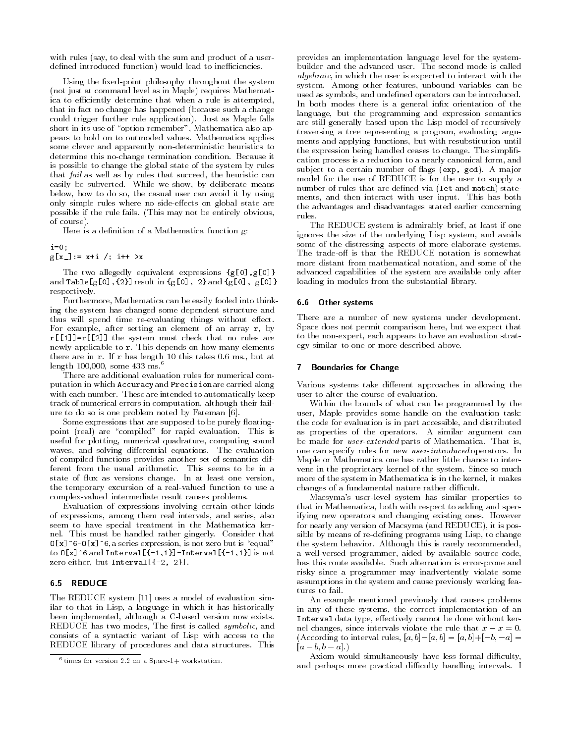with rules (say, to deal with the sum and product of a useradded introduced functional to international to international to international

using the military philosophy throughout the system. (not just at command level as in Maple) requires Mathematica to efficiently determine that when a rule is attempted, that in fact no change has happened (because such a change could trigger further rule application). Just as Maple falls short in its use of option remember- Mathematica also ap pears to hold on to outmoded values Mathematica applies some clever and apparently non-deterministic heuristics to determine this no-change termination condition. Because it is possible to change the global state of the system by rules that fail as well as by rules that succeed, the heuristic can easily be subverted. While we show, by deliberate means below, how to do so, the casual user can avoid it by using only simple rules where no side-effects on global state are possible if the rule fails. (This may not be entirely obvious, of course

Here is a de nition of a Mathematica function g

 $i = 0$ : i 

gx x
i i

 x

The two allegedly equivalent expressions  $\{g[0], g[0]\}$ and Table  $[g[0], \{2\}]$  result in  $\{g[0], 2\}$  and  $\{g[0], g[0]\}$ respectively

Furthermore, Mathematica can be easily fooled into thinking the system has changed some dependent structure and thus will spend time re-evaluating things without effect. For example, after setting an element of an array  $r$ , by  $r[[1]] = r[[2]]$  the system must check that no rules are newly-applicable to r. This depends on how many elements there are in  $r$ . If  $r$  has length 10 this takes 0.6 ms., but at length  $100,000$ , some  $433$  ms.<sup>6</sup>

There are additional evaluation rules for numerical com putation in which Accuracy and Precision are carried along with these multiples are intended the intended to automatically keep and the second to approximate the second track of numerical errors in computation, although their failure to do so is one problem noted by Fateman

Some expressions that are supposed to be purely floatingpoint real are compiled- for rapid evaluation This is useful for plotting, numerical quadrature, computing sound waves, and solving differential equations. The evaluation of compiled functions provides another set of semantics dif ferent from the usual arithmetic. This seems to be in a state of flux as versions change. In at least one version, the temporary excursion of a real-valued function to use a complex-valued intermediate result causes problems.

Evaluation of expressions involving certain other kinds of expressions, among them real intervals, and series, also seem to have special treatment in the Mathematica ker nel. This must be handled rather gingerly. Consider that  $0[x]$   $\infty$   $[x]$   $\infty$ , a series expression, is not zero but is "equal" to  $0[x]$ <sup>^6</sup> and Interval  $[-1,1]$ ]-Interval  $[-1,1]$ ] is not zero either, but Interval  $[-2, 2]$ .

### 6.5 REDUCE

The REDUCE system  $[11]$  uses a model of evaluation similar to that in Lisp a language in which it has historically been implemented, although a C-based version now exists. radia a called symbolic and the symbolic and the symbolic and the called symbolic and the called symbolic and the c consists of a syntactic variant of Lisp with access to the REDUCE library of procedures and data structures. This

provides an implementation language level for the system builder and the advanced user. The second mode is called algebraic, in which the user is expected to interact with the system. Among other features, unbound variables can be used as symbols and unde ned operators can be introduced In both modes there is a general in x orientation of the language, but the programming and expression semantics are still generally based upon the Lisp model of recursively traversing a tree representing a program, evaluating arguments and applying functions but with resubstitution until the expression being handled ceases to change The simpli cation process is a reduction to a nearly canonical form, and subject to a certain number of flags (exp, gcd). A major model for the use of REDUCE is for the user to supply a number of rules that are determined via let and match states that are determined via let and match states the ments, and then interact with user input. This has both the advantages and disadvantages stated earlier concerning *rules* 

The REDUCE system is admirably brief, at least if one ignores the size of the underlying Lisp system, and avoids some of the distressing aspects of more elaborate systems The trade-off is that the REDUCE notation is somewhat more distant from mathematical notation, and some of the advanced capabilities of the system are available only after loading in modules from the substantial library.

### Other systems

There are a number of new systems under development. Space does not permit comparison here, but we expect that to the non-expert, each appears to have an evaluation strategy similar to one or more described above

### 7 Boundaries for Change

Various systems take different approaches in allowing the user to alter the course of evaluation

Within the bounds of what can be programmed by the user, Maple provides some handle on the evaluation task: the code for evaluation is in part accessible, and distributed as properties of the operators A similar argument can be made for *user-extended* parts of Mathematica. That is, one can specify rules for new *user introduced* operators. In Maple or Mathematica one has rather little chance to inter vene in the proprietary kernel of the system. Since so much more of the system in Mathematica is in the kernel, it makes changes of a fundamental nature rather difficult.

Macsyma's user-level system has similar properties to that in Mathematica, both with respect to adding and specifying new operators and changing existing ones. However for nearly any version of Macsyma (and REDUCE), it is possible by means of rede ning programs using Lisp to change the system behavior. Although this is rarely recommended, a well-versed programmer, aided by available source code, has this route available. Such alternation is error-prone and risky since a programmer may inadvertently violate some assumptions in the system and cause previously working fea tures to fail.

An example mentioned previously that causes problems in any of these systems, the correct implementation of an Interval data type, effectively cannot be done without kernel changes, since intervals violate the rule that  $x - x = 0$ . (According to interval rules,  $[a, b] - [a, b] = [a, b] + [-b, -a] =$  $[a - b, b - a]$ .

Axiom would simultaneously have less formal difficulty, and perhaps more practical difficulty handling intervals. I

times for version 2.2 on a Sparc-1+ workstation.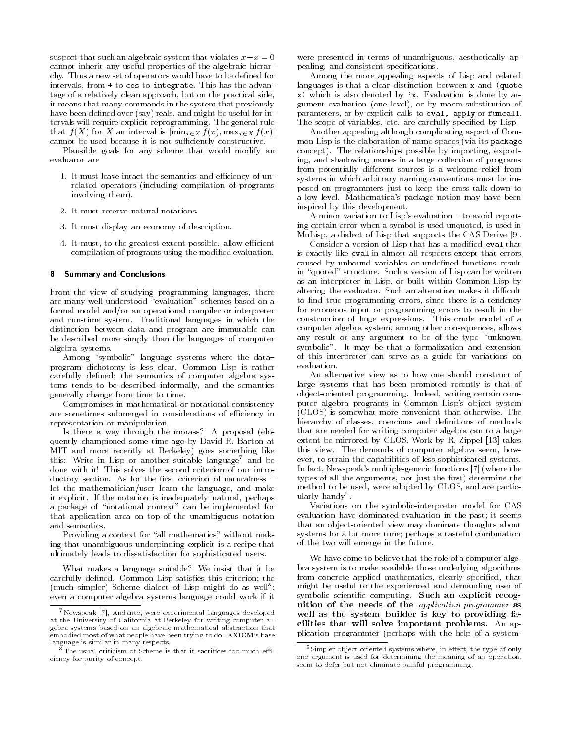suspect that such an algebraic system that violates  $x-x=0$ cannot inherit any useful properties of the algebraic hierar ree, the set of our set of operators would have to be defined in the definition of the definition of  $\alpha$ intervals, from + to cos to integrate. This has the advantage of a relatively clean approach, but on the practical side. it means that many commands in the system that previously have been de ned over say reals and might be useful for in tervals will require explicit reprogramming. The general rule that f  $\{x \in \mathcal{X} \mid x \in \mathcal{X} \mid x \neq 0\}$  is the minimum interval is the form  $\{x \in \mathcal{X} \mid x \neq 0\}$ cannot be used because it is not sufficiently constructive.

Plausible goals for any scheme that would modify an evaluator are

- 1. It must leave intact the semantics and efficiency of unrelated operators (including compilation of programs involving them).
- 2. It must reserve natural notations.
- 3. It must display an economy of description.
- 4. It must, to the greatest extent possible, allow efficient compilation of programs using the modi ed evaluation

## Summary and Conclusions

From the view of studying programming languages, there are many wellunderstood evaluation- schemes based on a formal model and/or an operational compiler or interpreter and run-time system. Traditional languages in which the distinction between data and program are immutable can be described more simply than the languages of computer algebra systems

Among symbolic- language systems where the data! program dichotomy is less clear, Common Lisp is rather carefully described the computer algebra system system system tems tends to be described informally, and the semantics generally change from time to time

Compromises in mathematical or notational consistency are sometimes submerged in considerations of efficiency in representation or manipulation

Is there a way through the morass? A proposal (eloquently championed some time ago by David R Barton at MIT and more recently at Berkeley goes something like this: Write in Lisp or another suitable language<sup>7</sup> and be done with it! This solves the second criterion of our introductory section As for the rst criterion of naturalness ! let the mathematician/user learn the language, and make it explicit. If the notation is inadequately natural, perhaps a package of notational context-books of notational context-books of notational context-books of notation of n that application area on top of the unambiguous notation and semantics

Providing a context for all mathematics- without mak ing that unambiguous underpinning explicit is a recipe that ultimately leads to dissatisfaction for sophisticated users

What makes a language suitable? We insist that it be carefully defined to a common complete common the criterion that  $\sim$ (much simpler) Scheme dialect of Lisp might do as well"; even a computer algebra systems language could work if it

were presented in terms of unambiguous, aesthetically appealing and consistent specific specific specific specific specific specific specific specific specific specific specific specific specific specific specific specific specific specific specific specific specific specific s

Among the more appealing aspects of Lisp and related languages is that a clear distinction between x and -quote x, which is also denoted by an extending is done by ar gument evaluation (one level), or by macro-substitution of parameters, or by explicit calls to eval, apply or funcall. The scope of variables etc are carefully speci ed by Lisp

Another appealing although complicating aspect of Com mon Lisp is the elaboration of name-spaces (via its package concept). The relationships possible by importing, exporting, and shadowing names in a large collection of programs from potentially different sources is a welcome relief from systems in which arbitrary naming conventions must be im posed on programmers just to keep the crosstalk down to a low level. Mathematica's package notion may have been inspired by this development

A minor variation to Lisp's evaluation  $-$  to avoid reporting certain error when a symbol is used unquoted, is used in MuLisp, a dialect of Lisp that supports the CAS Derive  $[9]$ .

consider a version of Lisp that has a modified that that  $\alpha$ is exactly like eval in almost all respects except that errors caused by unboundaries or underlying the second complete states of the second in quoted- structure Suchaversion of Lisp can be written as an interpreter in Lisp or built within Common Lisp by altering the evaluator. Such an alteration makes it difficult to nd true programming errors since there is a tendency for erroneous input or programming errors to result in the construction of huge expressions This crude model of a computer algebra system, among other consequences, allows any result or any argument to be of the type "unknown" symbolic-term in the that a formalization and extension and extension and extension and extension and extension of this interpreter can serve as a guide for variations on evaluation

An alternative view as to how one should construct of large systems that has been promoted recently is that of object-oriented programming. Indeed, writing certain computer algebra programs in Common Lisp's object system (CLOS) is somewhat more convenient than otherwise. The hierarchy of classes coercions and de nitions of methods that are needed for writing computer algebra can to a large extent be mirrored by CLOS. Work by R. Zippel [13] takes this view. The demands of computer algebra seem, however, to strain the capabilities of less sophisticated systems. In fact, Newspeak's multiple-generic functions  $[7]$  (where the types of all the arguments not just the rst determine the method to be used, were adopted by CLOS, and are particularly handy

Variations on the symbolic-interpreter model for CAS evaluation have dominated evaluation in the past; it seems that an object-oriented view may dominate thoughts about systems for a bit more time; perhaps a tasteful combination of the two will emerge in the future

We have come to believe that the role of a computer alge bra system is to make available those underlying algorithms from concrete applied mathematics clearly speci ed that might be useful to the experienced and demanding user of symbolic scientific computing. Such an explicit recognition of the needs of the application programmer as well as the system builder is key to providing facilities that will solve important problems An ap plication programmer (perhaps with the help of a system-

 $7$  Newspeak  $[7]$ , Andante, were experimental languages developed at the University of California at Berkeley for writing computer al gebra systems based on an algebraic mathematical abstraction that embodied most of what people have been trying to do. AXIOM's base language is similar in many respects

<sup>&</sup>lt;sup>8</sup>The usual criticism of Scheme is that it sacrifices too much efficiency for purity of concept

<sup>-</sup>Simpler object-oriented systems where, in effect, the type of only one argument is used for determining the meaning of an operation seem to defer but not eliminate painful programming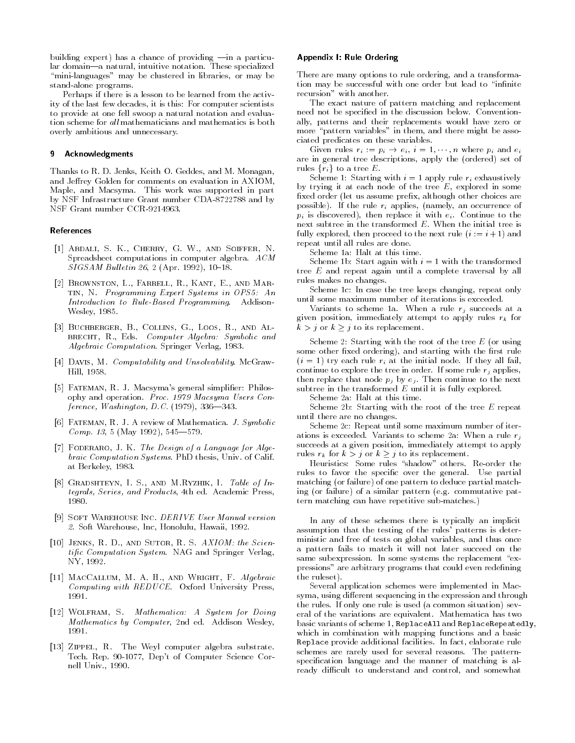building expert) has a chance of providing  $\equiv$  in a particular domain-a natural, intuitive notation. These specialized ministers in libraries or may be clustered in libraries or may be clustered in library or may be considered in stand-alone programs.

Perhaps if there is a lesson to be learned from the activ ity of the last few decades, it is this: For computer scientists to provide at one fell swoop a natural notation and evalua tion scheme for all mathematicians and mathematics is both overly ambitious and unnecessary

## Acknowledgments

Thanks to R. D. Jenks, Keith O. Geddes, and M. Monagan, and Jeffrey Golden for comments on evaluation in AXIOM, Maple, and Macsyma. This work was supported in part by NSF Infrastructure Grant number CDA-8722788 and by NSF Grant number CCR 

### References

- $\mathbf{A}$  and Soiffer N-Line Soiffer N-Line Soiffer N-Line Soiffer N-Line Soiffer N-Line Soiffer N-Line Soiffer N-Line Soiffer N-Line Soiffer N-Line Soiffer N-Line Soiffer N-Line Soiffer N-Line Soiffer N-Line Soiffer N-Lin Spreadsheet computations in computer algebra.  $ACM$  $SIGSAM$  Bulletin 26, 2 (Apr. 1992), 10-18.
- ist and Marshall Route Library and Marshall Route and Marshall time are the sequence of the Maria Systems in the Section Section of the System of the System of the System of Introduction to Rule-Based Programming. Addison-Wesley, 1985.
- Buchberger B- Collins G- Loos R- and Al brecht R- Eds Computer Algebra Symbolic and Algebraic Computation. Springer Verlag, 1983.
- Davis M- Computability and Unsolvability McGraw Hill, 1958.
- Fateman R- J- Macsymas general simpli er Philos oper, we a space was a contract when we space of the contract  $\sim$  $ference, Washington, D.C. (1979), 336-343.$
- Fateman R- J- A review of Mathematica J Symbolic *Comp.* 13, 5 (May 1992), 545–579.
- Foderaro J- K- The Design of a Language for Alge braic Computation Systems. PhD thesis, Univ. of Calif. at Berkeley
- Gradshteyn I- S- and M-Ryzhik I- Table of In tegrals, Series, and Products, 4th ed. Academic Press, 1980.
- Soft Warehouse Inc- DERIVE User Manual version 2. Soft Warehouse, Inc, Honolulu, Hawaii, 1992.
- , and Sutor Research Research Research Research Research Research titus sering computation system station and springer verlage NY, 1992.
- MacCallum M- A- H- and Wright F- Algebraic Computing with REDUCE Oxford University Press 1991.
- wolfram Southern States and System for Doing for Doing and Doing the System for Doing to Doing the Doing to Do Mathematics by Computer, 2nd ed. Addison Wesley,
- $\mathbf{r}$  and  $\mathbf{r}$  are Weyl computer algebra substrated algebra substrated algebra substrated algebra substrated algebra substrated and  $\mathbf{r}$ Tech. Rep. 90-1077, Dep't of Computer Science Cornell Univ., 1990.

## Appendix I: Rule Ordering

There are many options to rule ordering, and a transformation may be successful with one order but lead to in nite

The exact nature of pattern matching and replacement ene of the specific in the discussion below  $\alpha$ ally, patterns and their replacements would have zero or more pattern variables- in therm, and there might be assoc ciated predicates on these variables

Given rules  $r_i := p_i \rightarrow e_i$ ,  $i = 1, \dots, n$  where  $p_i$  and  $e_i$ are in general tree descriptions, apply the (ordered) set of rules  $\{r_i\}$  to a tree E.

Scheme 1: Starting with  $i = 1$  apply rule  $r_i$  exhaustively by trying it at each node of the tree  $E$ , explored in some xed or although our assumed present although other choices are as possible). If the rule  $r_i$  applies, (namely, an occurrence of  $p_i$  is discovered), then replace it with  $e_i$ . Continue to the next subtree in the transformed  $E$ . When the initial tree is fully explored, then proceed to the next rule  $(i := i + 1)$  and repeat until all rules are done

Scheme 1a: Halt at this time.

Scheme 1b: Start again with  $i = 1$  with the transformed tree E and repeat again until a complete traversal by all rules makes no changes

Scheme 1c: In case the tree keeps changing, repeat only until some maximum number of iterations is exceeded

Variants to scheme 1a. When a rule  $r_i$  succeeds at a given position, immediately attempt to apply rules  $r_k$  for  $k > j$  or  $k > j$  to its replacement.

Scheme 2: Starting with the root of the tree  $E$  (or using some other xed ordering and starting with the rst rule  $(i = 1)$  try each rule  $r_i$  at the initial node. If they all fail, continue to explore the tree in order. If some rule  $r_j$  applies, then replace that node  $p_j$  by  $e_j$ . Then continue to the next subtree in the transformed  $E$  until it is fully explored.

Scheme 2a: Halt at this time.

Scheme 2b: Starting with the root of the tree  $E$  repeat until there are no changes

Scheme 2c: Repeat until some maximum number of iterations is exceeded. Variants to scheme 2a: When a rule  $r_i$ succeeds at a given position, immediately attempt to apply rules  $r_k$  for  $k > j$  or  $k \geq j$  to its replacement.

rules to favor the speci c over the general Use partial matching (or failure) of one pattern to deduce partial matching (or failure) of a similar pattern (e.g. commutative pattern matching can have repetitive sub-matches.)

In any of these schemes there is typically an implicit assumption that the testing of the rules' patterns is deterministic and free of tests on global variables, and thus once a pattern fails to match it will not later succeed on the same subexpression. In some systems the replacement "expressions- are arbitrary programs that could even redesigned the ruleset

Several application schemes were implemented in Mac syma, using different sequencing in the expression and through the rules. If only one rule is used (a common situation) several of the variations are equivalent. Mathematica has two basic variants of scheme 1, ReplaceAll and ReplaceRepeatedly, which in combination with mapping functions and a basic Replace provide additional facilities. In fact, elaborate rule schemes are rarely used for several reasons. The patternspeci cation language and the manner of matching is al ready difficult to understand and control, and somewhat